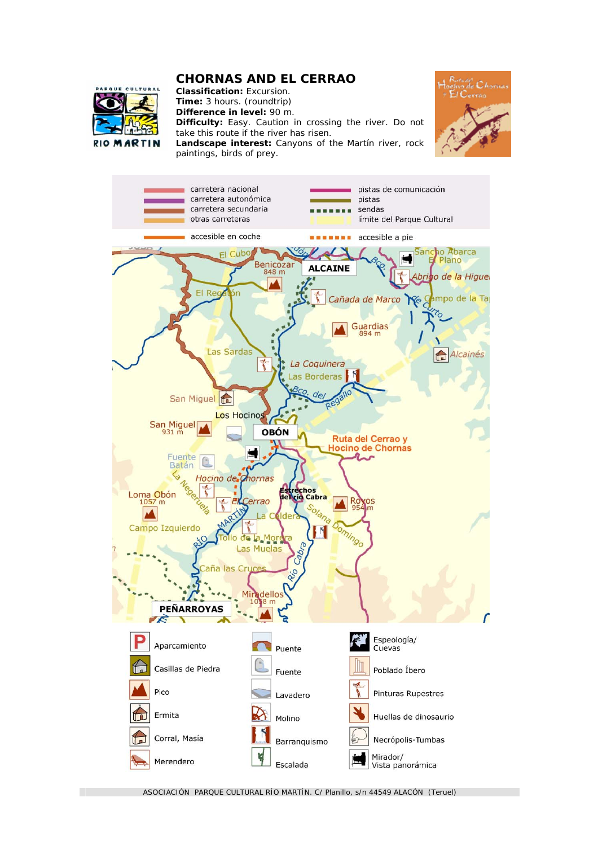## **CHORNAS AND EL CERRAO**



**Classification:** Excursion. **Time:** 3 hours. (roundtrip) **Difference in level:** 90 m. **Difficulty:** Easy. Caution in crossing the river. Do not take this route if the river has risen. **Landscape interest:** Canyons of the Martín river, rock paintings, birds of prey.





ASOCIACIÓN PARQUE CULTURAL RÍO MARTÍN. C/ Planillo, s/n 44549 ALACÓN (Teruel)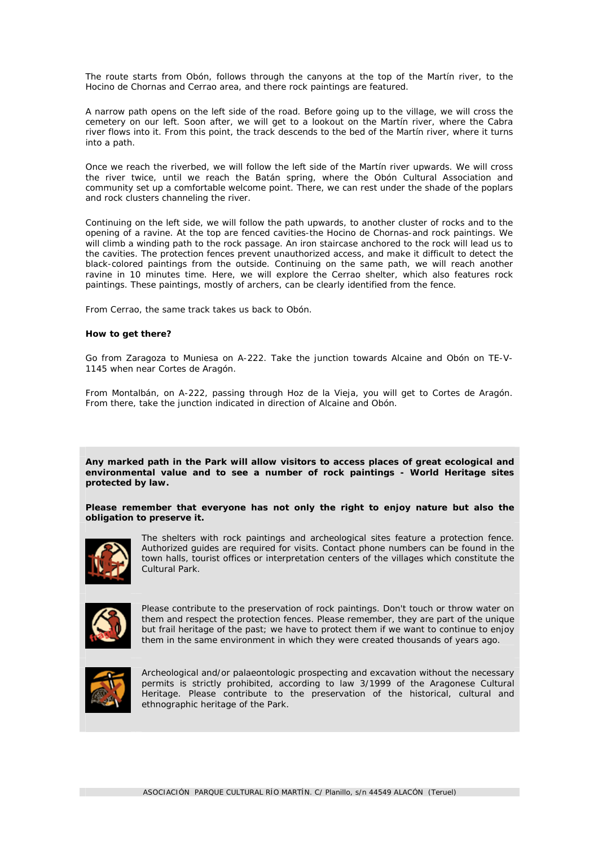The route starts from Obón, follows through the canyons at the top of the Martín river, to the Hocino de Chornas and Cerrao area, and there rock paintings are featured.

A narrow path opens on the left side of the road. Before going up to the village, we will cross the cemetery on our left. Soon after, we will get to a lookout on the Martín river, where the Cabra river flows into it. From this point, the track descends to the bed of the Martín river, where it turns into a path.

Once we reach the riverbed, we will follow the left side of the Martín river upwards. We will cross the river twice, until we reach the Batán spring, where the Obón Cultural Association and community set up a comfortable welcome point. There, we can rest under the shade of the poplars and rock clusters channeling the river.

Continuing on the left side, we will follow the path upwards, to another cluster of rocks and to the opening of a ravine. At the top are fenced cavities-the Hocino de Chornas-and rock paintings. We will climb a winding path to the rock passage. An iron staircase anchored to the rock will lead us to the cavities. The protection fences prevent unauthorized access, and make it difficult to detect the black-colored paintings from the outside. Continuing on the same path, we will reach another ravine in 10 minutes time. Here, we will explore the Cerrao shelter, which also features rock paintings. These paintings, mostly of archers, can be clearly identified from the fence.

From Cerrao, the same track takes us back to Obón.

## **How to get there?**

Go from Zaragoza to Muniesa on A-222. Take the junction towards Alcaine and Obón on TE-V-1145 when near Cortes de Aragón.

From Montalbán, on A-222, passing through Hoz de la Vieja, you will get to Cortes de Aragón. From there, take the junction indicated in direction of Alcaine and Obón.

**Any marked path in the Park will allow visitors to access places of great ecological and environmental value and to see a number of rock paintings - World Heritage sites protected by law.** 

**Please remember that everyone has not only the right to enjoy nature but also the obligation to preserve it.**



The shelters with rock paintings and archeological sites feature a protection fence. Authorized guides are required for visits. Contact phone numbers can be found in the town halls, tourist offices or interpretation centers of the villages which constitute the Cultural Park.



Please contribute to the preservation of rock paintings. Don't touch or throw water on them and respect the protection fences. Please remember, they are part of the unique but frail heritage of the past; we have to protect them if we want to continue to enjoy them in the same environment in which they were created thousands of years ago.



Archeological and/or palaeontologic prospecting and excavation without the necessary permits is strictly prohibited, according to law 3/1999 of the Aragonese Cultural Heritage. Please contribute to the preservation of the historical, cultural and ethnographic heritage of the Park.